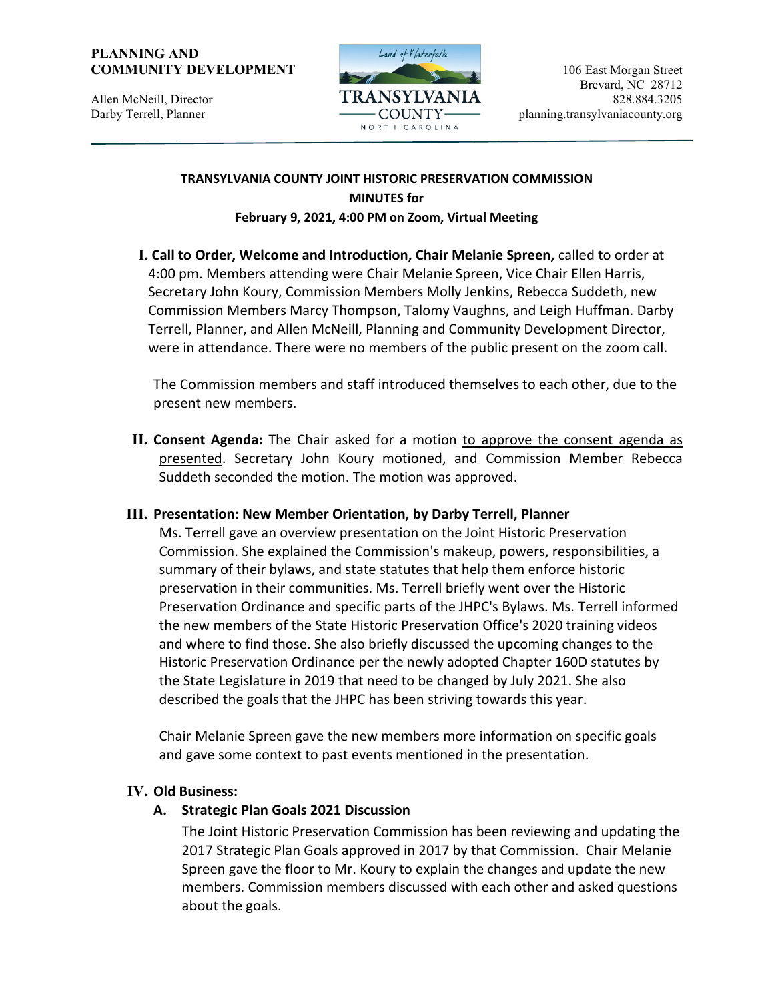#### **PLANNING AND COMMUNITY DEVELOPMENT** 106 East Morgan Street



### **TRANSYLVANIA COUNTY JOINT HISTORIC PRESERVATION COMMISSION MINUTES for February 9, 2021, 4:00 PM on Zoom, Virtual Meeting**

**I. Call to Order, Welcome and Introduction, Chair Melanie Spreen,** called to order at 4:00 pm. Members attending were Chair Melanie Spreen, Vice Chair Ellen Harris, Secretary John Koury, Commission Members Molly Jenkins, Rebecca Suddeth, new Commission Members Marcy Thompson, Talomy Vaughns, and Leigh Huffman. Darby Terrell, Planner, and Allen McNeill, Planning and Community Development Director, were in attendance. There were no members of the public present on the zoom call.

The Commission members and staff introduced themselves to each other, due to the present new members.

**II. Consent Agenda:** The Chair asked for a motion to approve the consent agenda as presented. Secretary John Koury motioned, and Commission Member Rebecca Suddeth seconded the motion. The motion was approved.

# **III. Presentation: New Member Orientation, by Darby Terrell, Planner**

Ms. Terrell gave an overview presentation on the Joint Historic Preservation Commission. She explained the Commission's makeup, powers, responsibilities, a summary of their bylaws, and state statutes that help them enforce historic preservation in their communities. Ms. Terrell briefly went over the Historic Preservation Ordinance and specific parts of the JHPC's Bylaws. Ms. Terrell informed the new members of the State Historic Preservation Office's 2020 training videos and where to find those. She also briefly discussed the upcoming changes to the Historic Preservation Ordinance per the newly adopted Chapter 160D statutes by the State Legislature in 2019 that need to be changed by July 2021. She also described the goals that the JHPC has been striving towards this year.

Chair Melanie Spreen gave the new members more information on specific goals and gave some context to past events mentioned in the presentation.

# **IV. Old Business:**

# **A. Strategic Plan Goals 2021 Discussion**

The Joint Historic Preservation Commission has been reviewing and updating the 2017 Strategic Plan Goals approved in 2017 by that Commission. Chair Melanie Spreen gave the floor to Mr. Koury to explain the changes and update the new members. Commission members discussed with each other and asked questions about the goals.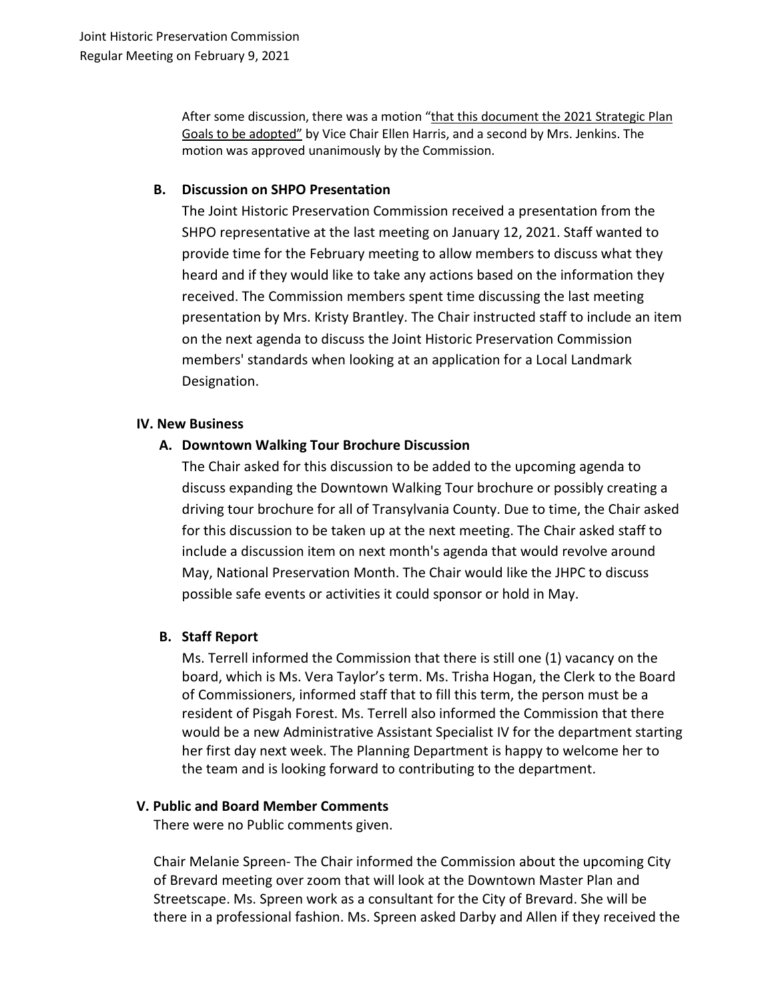After some discussion, there was a motion "that this document the 2021 Strategic Plan Goals to be adopted" by Vice Chair Ellen Harris, and a second by Mrs. Jenkins. The motion was approved unanimously by the Commission.

### **B. Discussion on SHPO Presentation**

The Joint Historic Preservation Commission received a presentation from the SHPO representative at the last meeting on January 12, 2021. Staff wanted to provide time for the February meeting to allow members to discuss what they heard and if they would like to take any actions based on the information they received. The Commission members spent time discussing the last meeting presentation by Mrs. Kristy Brantley. The Chair instructed staff to include an item on the next agenda to discuss the Joint Historic Preservation Commission members' standards when looking at an application for a Local Landmark Designation.

#### **IV. New Business**

### **A. Downtown Walking Tour Brochure Discussion**

The Chair asked for this discussion to be added to the upcoming agenda to discuss expanding the Downtown Walking Tour brochure or possibly creating a driving tour brochure for all of Transylvania County. Due to time, the Chair asked for this discussion to be taken up at the next meeting. The Chair asked staff to include a discussion item on next month's agenda that would revolve around May, National Preservation Month. The Chair would like the JHPC to discuss possible safe events or activities it could sponsor or hold in May.

### **B. Staff Report**

Ms. Terrell informed the Commission that there is still one (1) vacancy on the board, which is Ms. Vera Taylor's term. Ms. Trisha Hogan, the Clerk to the Board of Commissioners, informed staff that to fill this term, the person must be a resident of Pisgah Forest. Ms. Terrell also informed the Commission that there would be a new Administrative Assistant Specialist IV for the department starting her first day next week. The Planning Department is happy to welcome her to the team and is looking forward to contributing to the department.

# **V. Public and Board Member Comments**

There were no Public comments given.

Chair Melanie Spreen- The Chair informed the Commission about the upcoming City of Brevard meeting over zoom that will look at the Downtown Master Plan and Streetscape. Ms. Spreen work as a consultant for the City of Brevard. She will be there in a professional fashion. Ms. Spreen asked Darby and Allen if they received the